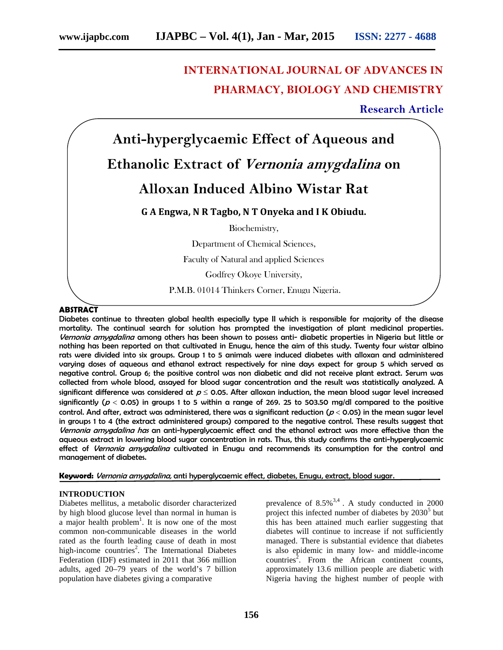# **INTERNATIONAL JOURNAL OF ADVANCES IN PHARMACY, BIOLOGY AND CHEMISTRY**

**Research Article**



P.M.B. 01014 Thinkers Corner, Enugu Nigeria.

### **ABSTRACT**

Diabetes continue to threaten global health especially type II which is responsible for majority of the disease mortality. The continual search for solution has prompted the investigation of plant medicinal properties*. Vernonia amygdalina* among others has been shown to possess anti- diabetic properties in Nigeria but little or nothing has been reported on that cultivated in Enugu, hence the aim of this study. Twenty four wistar albino rats were divided into six groups. Group 1 to 5 animals were induced diabetes with alloxan and administered varying doses of aqueous and ethanol extract respectively for nine days expect for group 5 which served as negative control. Group 6; the positive control was non diabetic and did not receive plant extract. Serum was collected from whole blood, assayed for blood sugar concentration and the result was statistically analyzed. A significant difference was considered at  $p \le 0.05$ . After alloxan induction, the mean blood sugar level increased significantly ( $p < 0.05$ ) in groups 1 to 5 within a range of 269. 25 to 503.50 mg/dl compared to the positive control. And after, extract was administered, there was a significant reduction (*<sup>p</sup>* 0.05) in the mean sugar level in groups 1 to 4 (the extract administered groups) compared to the negative control. These results suggest that *Vernonia amygdalina has* an anti-hyperglycaemic effect and the ethanol extract was more effective than the aqueous extract in lowering blood sugar concentration in rats. Thus, this study confirms the anti-hyperglycaemic effect of *Vernonia amygdalina* cultivated in Enugu and recommends its consumption for the control and management of diabetes.

**Keyword:** *Vernonia amygdalina,* anti hyperglycaemic effect, diabetes, Enugu, extract, blood sugar.

#### **INTRODUCTION**

Diabetes mellitus, a metabolic disorder characterized by high blood glucose level than normal in human is a major health problem<sup>1</sup>. It is now one of the most common non-communicable diseases in the world rated as the fourth leading cause of death in most high-income countries<sup>2</sup>. The International Diabetes Federation (IDF) estimated in 2011 that 366 million adults, aged 20–79 years of the world's 7 billion population have diabetes giving a comparative

prevalence of  $8.5\%^{3,4}$ . A study conducted in 2000 project this infected number of diabetes by  $2030<sup>5</sup>$  but this has been attained much earlier suggesting that diabetes will continue to increase if not sufficiently managed. There is substantial evidence that diabetes is also epidemic in many low- and middle-income countries<sup>2</sup>. From the African continent counts, approximately 13.6 million people are diabetic with Nigeria having the highest number of people with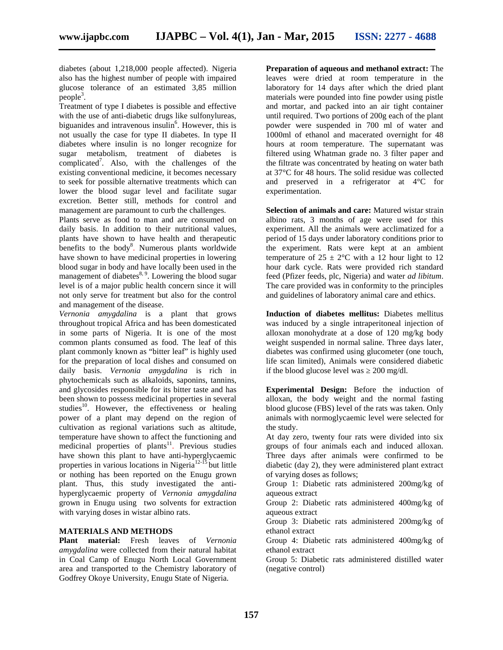diabetes (about 1,218,000 people affected). Nigeria also has the highest number of people with impaired glucose tolerance of an estimated 3,85 million  $people<sup>3</sup>$ .

Treatment of type I diabetes is possible and effective with the use of anti-diabetic drugs like sulfonylureas, biguanides and intravenous insulin<sup>6</sup>. However, this is not usually the case for type II diabetes. In type II diabetes where insulin is no longer recognize for sugar metabolism, treatment of diabetes is complicated<sup>7</sup> . Also, with the challenges of the existing conventional medicine, it becomes necessary to seek for possible alternative treatments which can lower the blood sugar level and facilitate sugar excretion. Better still, methods for control and management are paramount to curb the challenges.

Plants serve as food to man and are consumed on daily basis. In addition to their nutritional values, plants have shown to have health and therapeutic benefits to the body<sup>8</sup>. Numerous plants worldwide have shown to have medicinal properties in lowering blood sugar in body and have locally been used in the management of diabetes $8, 9$ . Lowering the blood sugar level is of a major public health concern since it will not only serve for treatment but also for the control and management of the disease.

*Vernonia amygdalina* is a plant that grows throughout tropical Africa and has been domesticated in some parts of Nigeria. It is one of the most common plants consumed as food*.* The leaf of this plant commonly known as "bitter leaf" is highly used for the preparation of local dishes and consumed on daily basis. *Vernonia amygdalina* is rich in phytochemicals such as alkaloids, saponins, tannins, and glycosides responsible for its bitter taste and has been shown to possess medicinal properties in several studies<sup>10</sup>. However, the effectiveness or healing power of a plant may depend on the region of cultivation as regional variations such as altitude, temperature have shown to affect the functioning and medicinal properties of plants<sup>11</sup>. Previous studies have shown this plant to have anti-hyperglycaemic properties in various locations in Nigeria $12-15$  but little or nothing has been reported on the Enugu grown plant. Thus, this study investigated the anti hyperglycaemic property of *Vernonia amygdalina* grown in Enugu using two solvents for extraction with varying doses in wistar albino rats.

#### **MATERIALS AND METHODS**

**Plant material:** Fresh leaves of *Vernonia amygdalina* were collected from their natural habitat in Coal Camp of Enugu North Local Government area and transported to the Chemistry laboratory of Godfrey Okoye University, Enugu State of Nigeria.

**Preparation of aqueous and methanol extract:** The leaves were dried at room temperature in the laboratory for 14 days after which the dried plant materials were pounded into fine powder using pistle and mortar, and packed into an air tight container until required. Two portions of 200g each of the plant powder were suspended in 700 ml of water and 1000ml of ethanol and macerated overnight for 48 hours at room temperature. The supernatant was filtered using Whatman grade no. 3 filter paper and the filtrate was concentrated by heating on water bath at 37°C for 48 hours. The solid residue was collected and preserved in a refrigerator at 4°C for experimentation.

**Selection of animals and care:** Matured wistar strain albino rats, 3 months of age were used for this experiment. All the animals were acclimatized for a period of 15 days under laboratory conditions prior to the experiment. Rats were kept at an ambient temperature of  $25 \pm 2$ °C with a 12 hour light to 12 hour dark cycle. Rats were provided rich standard feed (Pfizer feeds, plc, Nigeria) and water *ad libitum*. The care provided was in conformity to the principles and guidelines of laboratory animal care and ethics.

**Induction of diabetes mellitus:** Diabetes mellitus was induced by a single intraperitoneal injection of alloxan monohydrate at a dose of 120 mg/kg body weight suspended in normal saline. Three days later, diabetes was confirmed using glucometer (one touch, life scan limited), Animals were considered diabetic if the blood glucose level was 200 mg/dl.

**Experimental Design:** Before the induction of alloxan, the body weight and the normal fasting blood glucose (FBS) level of the rats was taken. Only animals with normoglycaemic level were selected for the study.

At day zero, twenty four rats were divided into six groups of four animals each and induced alloxan. Three days after animals were confirmed to be diabetic (day 2), they were administered plant extract of varying doses as follows;

Group 1: Diabetic rats administered 200mg/kg of aqueous extract

Group 2: Diabetic rats administered 400mg/kg of aqueous extract

Group 3: Diabetic rats administered 200mg/kg of ethanol extract

Group 4: Diabetic rats administered 400mg/kg of ethanol extract

Group 5: Diabetic rats administered distilled water (negative control)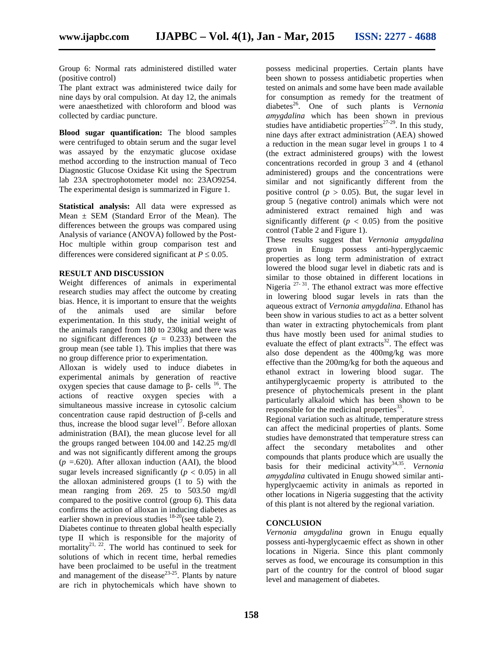Group 6: Normal rats administered distilled water (positive control)

The plant extract was administered twice daily for nine days by oral compulsion. At day 12, the animals were anaesthetized with chloroform and blood was collected by cardiac puncture.

**Blood sugar quantification:** The blood samples were centrifuged to obtain serum and the sugar level was assayed by the enzymatic glucose oxidase method according to the instruction manual of Teco Diagnostic Glucose Oxidase Kit using the Spectrum lab 23A spectrophotometer model no: 23AO9254. The experimental design is summarized in Figure 1.

**Statistical analysis:** All data were expressed as Mean  $\pm$  SEM (Standard Error of the Mean). The differences between the groups was compared using Analysis of variance (ANOVA) followed by the Post- Hoc multiple within group comparison test and differences were considered significant at  $P \leq 0.05$ .

#### **RESULT AND DISCUSSION**

Weight differences of animals in experimental research studies may affect the outcome by creating bias. Hence, it is important to ensure that the weights of the animals used are similar before experimentation. In this study, the initial weight of the animals ranged from 180 to 230kg and there was no significant differences ( $p = 0.233$ ) between the group mean (see table 1). This implies that there was no group difference prior to experimentation.

Alloxan is widely used to induce diabetes in experimental animals by generation of reactive oxygen species that cause damage to  $\sim$  cells <sup>16</sup>. The actions of reactive oxygen species with a simultaneous massive increase in cytosolic calcium concentration cause rapid destruction of -cells and thus, increase the blood sugar level<sup>17</sup>. Before alloxan administration (BAI), the mean glucose level for all the groups ranged between 104.00 and 142.25 mg/dl and was not significantly different among the groups  $(p = .620)$ . After alloxan induction (AAI), the blood sugar levels increased significantly ( $p < 0.05$ ) in all the alloxan administered groups (1 to 5) with the mean ranging from 269. 25 to 503.50 mg/dl compared to the positive control (group 6). This data confirms the action of alloxan in inducing diabetes as earlier shown in previous studies  $18-20$ (see table 2).

Diabetes continue to threaten global health especially type II which is responsible for the majority of mortality<sup>21, 22</sup>. The world has continued to seek for solutions of which in recent time, herbal remedies have been proclaimed to be useful in the treatment and management of the disease<sup>23-25</sup>. Plants by nature are rich in phytochemicals which have shown to

possess medicinal properties. Certain plants have been shown to possess antidiabetic properties when tested on animals and some have been made available for consumption as remedy for the treatment of diabetes<sup>26</sup>. One of such plants is *Vernonia amygdalina* which has been shown in previous studies have antidiabetic properties<sup> $27-29$ </sup>. In this study, nine days after extract administration (AEA) showed a reduction in the mean sugar level in groups 1 to 4 (the extract administered groups) with the lowest concentrations recorded in group 3 and 4 (ethanol administered) groups and the concentrations were similar and not significantly different from the positive control ( $p > 0.05$ ). But, the sugar level in group 5 (negative control) animals which were not administered extract remained high and was significantly different ( $p < 0.05$ ) from the positive control (Table 2 and Figure 1).

These results suggest that *Vernonia amygdalina* grown in Enugu possess anti-hyperglycaemic properties as long term administration of extract lowered the blood sugar level in diabetic rats and is similar to those obtained in different locations in Nigeria  $27-31$ . The ethanol extract was more effective in lowering blood sugar levels in rats than the aqueous extract of *Vernonia amygdalina*. Ethanol has been show in various studies to act as a better solvent than water in extracting phytochemicals from plant thus have mostly been used for animal studies to evaluate the effect of plant extracts<sup>32</sup>. The effect was also dose dependent as the 400mg/kg was more effective than the 200mg/kg for both the aqueous and ethanol extract in lowering blood sugar. The antihyperglycaemic property is attributed to the presence of phytochemicals present in the plant particularly alkaloid which has been shown to be responsible for the medicinal properties $^{33}$ .

Regional variation such as altitude, temperature stress can affect the medicinal properties of plants. Some studies have demonstrated that temperature stress can affect the secondary metabolites and other compounds that plants produce which are usually the basis for their medicinal activity<sup>34,35</sup>. Vernonia *amygdalina* cultivated in Enugu showed similar anti hyperglycaemic activity in animals as reported in other locations in Nigeria suggesting that the activity of this plant is not altered by the regional variation.

## **CONCLUSION**

*Vernonia amygdalina* grown in Enugu equally possess anti-hyperglycaemic effect as shown in other locations in Nigeria. Since this plant commonly serves as food, we encourage its consumption in this part of the country for the control of blood sugar level and management of diabetes.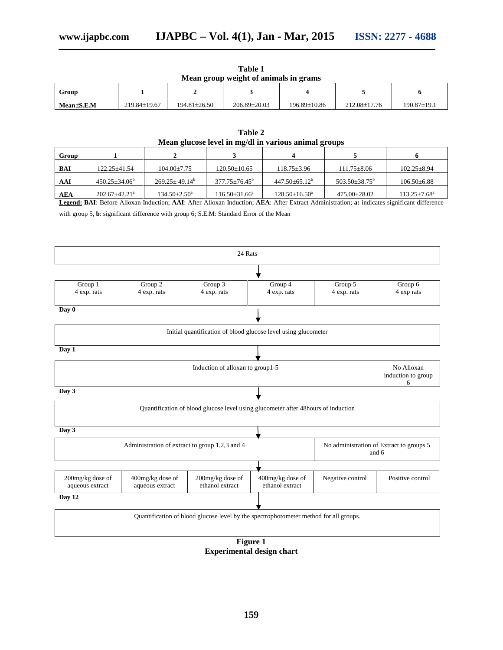| Mean group weight of animals in grams |              |                    |                    |              |              |                   |  |  |  |  |
|---------------------------------------|--------------|--------------------|--------------------|--------------|--------------|-------------------|--|--|--|--|
| Group                                 |              |                    |                    |              |              |                   |  |  |  |  |
| MeanES.E.M                            | 219.84+19.67 | $194.81 \pm 26.50$ | $206.89 \pm 20.03$ | 196.89+10.86 | 212.08±17.76 | $190.87 \pm 19.1$ |  |  |  |  |

| Table 1                               |  |
|---------------------------------------|--|
| Mean group weight of animals in grams |  |

| Mean glucose level in mg/dl in various animal groups |                                 |                           |                            |                      |                          |                           |  |  |  |  |
|------------------------------------------------------|---------------------------------|---------------------------|----------------------------|----------------------|--------------------------|---------------------------|--|--|--|--|
| Group                                                |                                 |                           |                            |                      |                          |                           |  |  |  |  |
| BAI                                                  | $122.25 + 41.54$                | $104.00+7.75$             | $120.50 \pm 10.65$         | $118.75 \pm 3.96$    | $111.75 \pm 8.06$        | $102.25 \pm 8.94$         |  |  |  |  |
| AAI                                                  | $450.25 \pm 34.06^{\circ}$      | $269.25 + 49.14^b$        | $377.75 \pm 76.45^{\circ}$ | $447.50 \pm 65.12^b$ | $503.50\pm38.75^{\rm b}$ | $106.50\text{±}6.88$      |  |  |  |  |
| <b>AEA</b>                                           | $202.67 \pm 42.21$ <sup>a</sup> | $134.50 \pm 2.50^{\circ}$ | $116.50\pm31.66^a$         | $128.50\pm16.50^a$   | $475.00 \pm 28.02$       | $113.25 \pm 7.68^{\circ}$ |  |  |  |  |

**Table 2**

**Legend: BAI**: Before Alloxan Induction; **AAI**: After Alloxan Induction; **AEA**: After Extract Administration; **a:** indicates significant difference

with group 5, **b**: significant difference with group 6; S.E.M: Standard Error of the Mean



**Experimental design chart**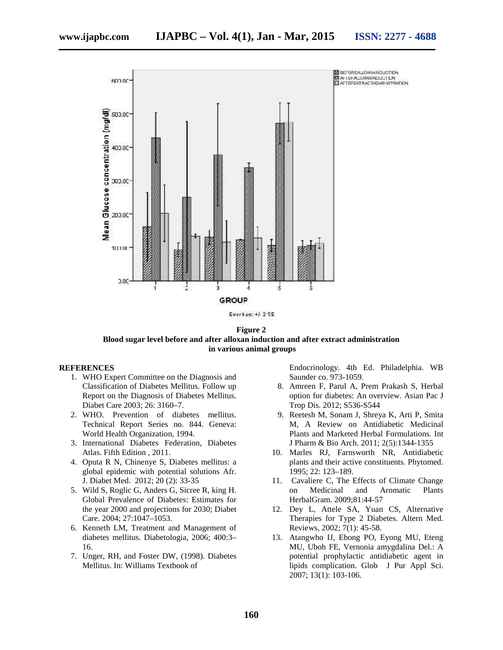

**Figure 2 Blood sugar level before and after alloxan induction and after extract administration in various animal groups**

#### **REFERENCES**

- 1. WHO Expert Committee on the Diagnosis and Classification of Diabetes Mellitus. Follow up Report on the Diagnosis of Diabetes Mellitus. Diabet Care 2003; 26: 3160–7.
- 2. WHO. Prevention of diabetes mellitus. Technical Report Series no. 844. Geneva: World Health Organization, 1994.
- 3. International Diabetes Federation, Diabetes Atlas. Fifth Edition , 2011.
- 4. Oputa R N, Chinenye S, Diabetes mellitus: a global epidemic with potential solutions Afr. J. Diabet Med. 2012; 20 (2): 33-35
- 5. Wild S, Roglic G, Anders G, Sicree R, king H. Global Prevalence of Diabetes: Estimates for the year 2000 and projections for 2030; Diabet Care. 2004; 27:1047–1053.
- 6. Kenneth LM, Treatment and Management of diabetes mellitus. Diabetologia, 2006; 400:3– 16.
- 7. Unger, RH, and Foster DW, (1998). Diabetes Mellitus. In: Williams Textbook of

Endocrinology. 4th Ed. Philadelphia. WB Saunder co. 973-1059.

- 8. Amreen F, Parul A, Prem Prakash S, Herbal option for diabetes: An overview. Asian Pac J Trop Dis. 2012; S536-S544
- 9. Reetesh M, Sonam J, Shreya K, Arti P, Smita M, A Review on Antidiabetic Medicinal Plants and Marketed Herbal Formulations. Int J Pharm & Bio Arch. 2011; 2(5):1344-1355
- 10. Marles RJ, Farnsworth NR, Antidiabetic plants and their active constituents. Phytomed. 1995; 22: 123–189.
- 11. Cavaliere C, The Effects of Climate Change on Medicinal and Aromatic Plants HerbalGram. 2009;81:44-57
- 12. Dey L, Attele SA, Yuan CS, Alternative Therapies for Type 2 Diabetes. Altern Med. Reviews, 2002; 7(1): 45-58.
- 13. Atangwho IJ, Ebong PO, Eyong MU, Eteng MU, Uboh FE, Vernonia amygdalina Del.: A potential prophylactic antidiabetic agent in lipids complication. Glob J Pur Appl Sci. 2007; 13(1): 103-106.